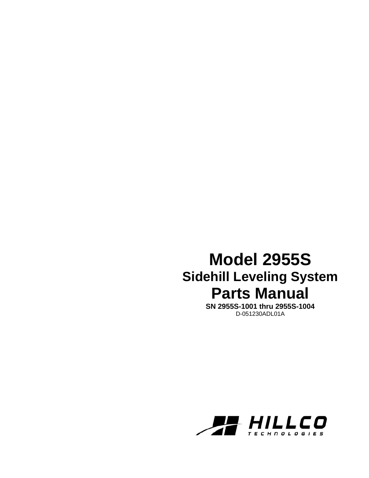## **Model 2955S Sidehill Leveling System Parts Manual**

**SN 2955S-1001 thru 2955S-1004**  D-051230ADL01A

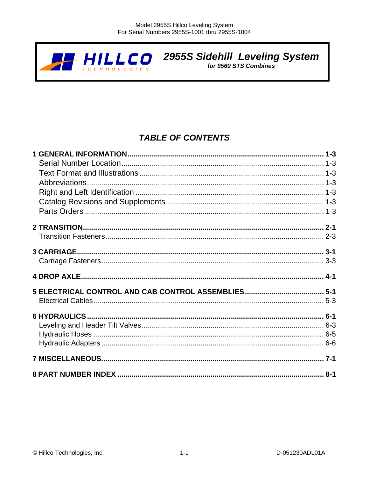

# **2955S Sidehill Leveling System**<br>for 9560 STS Combines

## **TABLE OF CONTENTS**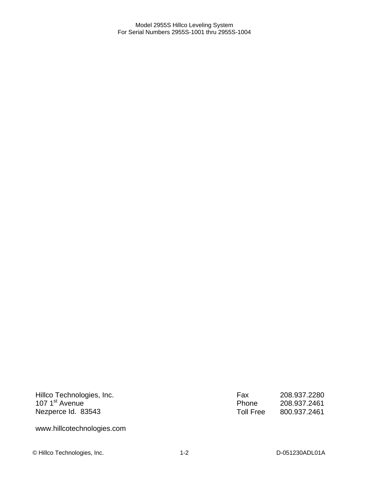Hillco Technologies, Inc. 107 1<sup>st</sup> Avenue Nezperce Id. 83543

Fax 208.937.2280<br>Phone 208.937.2461 Phone 208.937.2461 Toll Free 800.937.2461

www.hillcotechnologies.com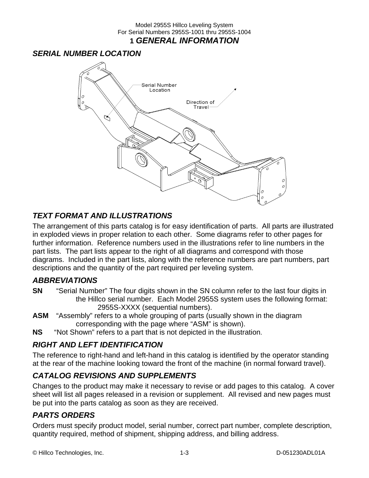## *SERIAL NUMBER LOCATION*



## *TEXT FORMAT AND ILLUSTRATIONS*

The arrangement of this parts catalog is for easy identification of parts. All parts are illustrated in exploded views in proper relation to each other. Some diagrams refer to other pages for further information. Reference numbers used in the illustrations refer to line numbers in the part lists. The part lists appear to the right of all diagrams and correspond with those diagrams. Included in the part lists, along with the reference numbers are part numbers, part descriptions and the quantity of the part required per leveling system.

### *ABBREVIATIONS*

- **SN** "Serial Number" The four digits shown in the SN column refer to the last four digits in the Hillco serial number. Each Model 2955S system uses the following format: 2955S-XXXX (sequential numbers).
- **ASM** "Assembly" refers to a whole grouping of parts (usually shown in the diagram corresponding with the page where "ASM" is shown).
- **NS** "Not Shown" refers to a part that is not depicted in the illustration.

## *RIGHT AND LEFT IDENTIFICATION*

The reference to right-hand and left-hand in this catalog is identified by the operator standing at the rear of the machine looking toward the front of the machine (in normal forward travel).

## *CATALOG REVISIONS AND SUPPLEMENTS*

Changes to the product may make it necessary to revise or add pages to this catalog. A cover sheet will list all pages released in a revision or supplement. All revised and new pages must be put into the parts catalog as soon as they are received.

## *PARTS ORDERS*

Orders must specify product model, serial number, correct part number, complete description, quantity required, method of shipment, shipping address, and billing address.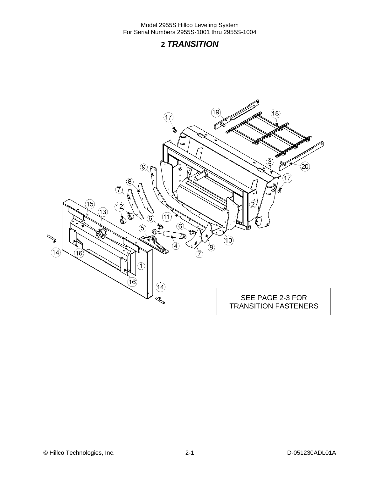## **2** *TRANSITION*

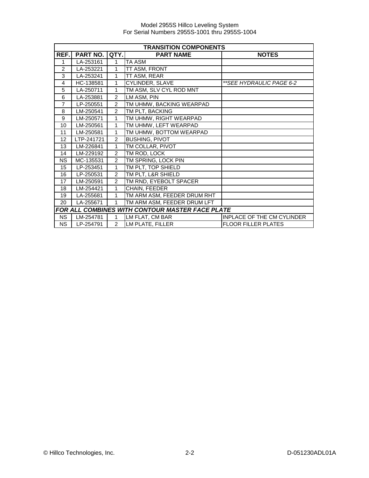|                | <b>TRANSITION COMPONENTS</b> |                |                                                 |                                   |  |  |  |  |
|----------------|------------------------------|----------------|-------------------------------------------------|-----------------------------------|--|--|--|--|
| REF.           | PART NO.                     | QTY.           | <b>PART NAME</b>                                | <b>NOTES</b>                      |  |  |  |  |
| 1              | LA-253161                    | 1              | TA ASM                                          |                                   |  |  |  |  |
| 2              | LA-253221                    | 1              | TT ASM, FRONT                                   |                                   |  |  |  |  |
| 3              | LA-253241                    | 1              | TT ASM, REAR                                    |                                   |  |  |  |  |
| 4              | HC-138581                    | 1              | <b>CYLINDER, SLAVE</b>                          | **SEE HYDRAULIC PAGE 6-2          |  |  |  |  |
| 5              | LA-250711                    | 1              | TM ASM, SLV CYL ROD MNT                         |                                   |  |  |  |  |
| 6              | LA-253881                    | $\overline{2}$ | LM ASM, PIN                                     |                                   |  |  |  |  |
| $\overline{7}$ | LP-250551                    | $\overline{2}$ | TM UHMW, BACKING WEARPAD                        |                                   |  |  |  |  |
| 8              | LM-250541                    | 2              | TM PLT, BACKING                                 |                                   |  |  |  |  |
| 9              | LM-250571                    | 1              | TM UHMW, RIGHT WEARPAD                          |                                   |  |  |  |  |
| 10             | LM-250561                    | 1              | TM UHMW, LEFT WEARPAD                           |                                   |  |  |  |  |
| 11             | LM-250581                    | 1              | TM UHMW, BOTTOM WEARPAD                         |                                   |  |  |  |  |
| 12             | LTP-241721                   | 2              | <b>BUSHING, PIVOT</b>                           |                                   |  |  |  |  |
| 13             | LM-226841                    | 1              | TM COLLAR, PIVOT                                |                                   |  |  |  |  |
| 14             | LM-229192                    | $\overline{2}$ | TM ROD, LOCK                                    |                                   |  |  |  |  |
| <b>NS</b>      | MC-135531                    | 2              | TM SPRING, LOCK PIN                             |                                   |  |  |  |  |
| 15             | LP-253451                    | $\mathbf{1}$   | TM PLT, TOP SHIELD                              |                                   |  |  |  |  |
| 16             | LP-250531                    | 2              | TM PLT, L&R SHIELD                              |                                   |  |  |  |  |
| 17             | LM-250591                    | 2              | TM RND, EYEBOLT SPACER                          |                                   |  |  |  |  |
| 18             | LM-254421                    | 1              | CHAIN, FEEDER                                   |                                   |  |  |  |  |
| 19             | LA-255681                    | 1              | TM ARM ASM, FEEDER DRUM RHT                     |                                   |  |  |  |  |
| 20             | LA-255671                    | 1              | TM ARM ASM, FEEDER DRUM LFT                     |                                   |  |  |  |  |
|                |                              |                | FOR ALL COMBINES WITH CONTOUR MASTER FACE PLATE |                                   |  |  |  |  |
| <b>NS</b>      | LM-254781                    | 1              | LM FLAT, CM BAR                                 | <b>INPLACE OF THE CM CYLINDER</b> |  |  |  |  |
| <b>NS</b>      | LP-254791                    | 2              | LM PLATE, FILLER                                | <b>FLOOR FILLER PLATES</b>        |  |  |  |  |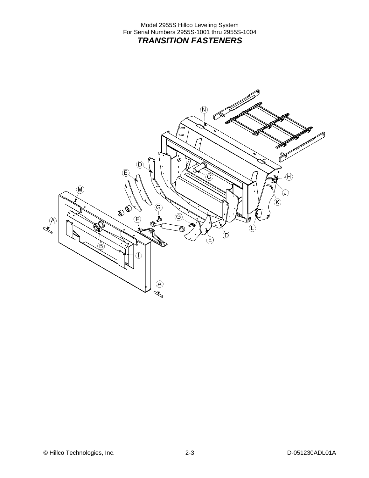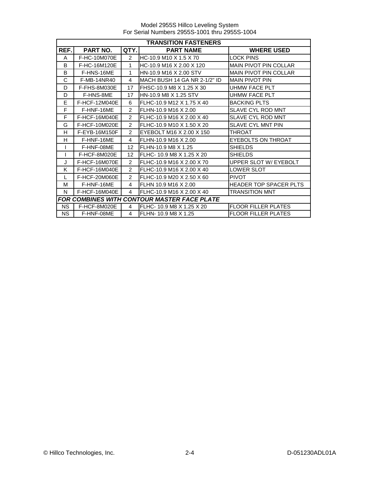Model 2955S Hillco Leveling System For Serial Numbers 2955S-1001 thru 2955S-1004

|              | <b>TRANSITION FASTENERS</b> |                |                                             |                               |  |  |  |
|--------------|-----------------------------|----------------|---------------------------------------------|-------------------------------|--|--|--|
| REF.         | PART NO.                    | QTY.           | <b>PART NAME</b>                            | <b>WHERE USED</b>             |  |  |  |
| A            | F-HC-10M070E                | $\mathcal{P}$  | HC-10.9 M10 X 1.5 X 70                      | <b>LOCK PINS</b>              |  |  |  |
| B            | F-HC-16M120E                | 1.             | HC-10.9 M16 X 2.00 X 120                    | <b>MAIN PIVOT PIN COLLAR</b>  |  |  |  |
| B            | F-HNS-16ME                  | 1              | HN-10.9 M16 X 2.00 STV                      | <b>MAIN PIVOT PIN COLLAR</b>  |  |  |  |
| C            | F-MB-14NR40                 | 4              | IMACH BUSH 14 GA NR 2-1/2" ID               | <b>MAIN PIVOT PIN</b>         |  |  |  |
| D            | F-FHS-8M030E                | 17             | FHSC-10.9 M8 X 1.25 X 30                    | UHMW FACE PLT                 |  |  |  |
| D            | F-HNS-8ME                   | 17             | HN-10.9 M8 X 1.25 STV                       | <b>UHMW FACE PLT</b>          |  |  |  |
| E            | F-HCF-12M040E               | 6              | FLHC-10.9 M12 X 1.75 X 40                   | <b>BACKING PLTS</b>           |  |  |  |
| F            | F-HNF-16ME                  | $\mathfrak{p}$ | FLHN-10.9 M16 X 2.00                        | <b>SLAVE CYL ROD MNT</b>      |  |  |  |
| F            | F-HCF-16M040E               | 2              | FLHC-10.9 M16 X 2.00 X 40                   | SLAVE CYL ROD MNT             |  |  |  |
| G            | F-HCF-10M020E               | $\mathcal{P}$  | FLHC-10.9 M10 X 1.50 X 20                   | <b>SLAVE CYL MNT PIN</b>      |  |  |  |
| H            | F-EYB-16M150F               | $\mathcal{P}$  | EYEBOLT M16 X 2.00 X 150                    | <b>THROAT</b>                 |  |  |  |
| H            | F-HNF-16ME                  | 4              | FLHN-10.9 M16 X 2.00                        | <b>EYEBOLTS ON THROAT</b>     |  |  |  |
|              | F-HNF-08ME                  | 12             | FLHN-10.9 M8 X 1.25                         | <b>SHIELDS</b>                |  |  |  |
|              | F-HCF-8M020E                | 12             | FLHC- 10.9 M8 X 1.25 X 20                   | <b>SHIELDS</b>                |  |  |  |
| $\mathbf{J}$ | F-HCF-16M070E               | $\mathcal{P}$  | FLHC-10.9 M16 X 2.00 X 70                   | UPPER SLOT W/ EYEBOLT         |  |  |  |
| K            | F-HCF-16M040E               | $\mathcal{P}$  | FLHC-10.9 M16 X 2.00 X 40                   | <b>LOWER SLOT</b>             |  |  |  |
| $\mathsf{L}$ | F-HCF-20M060E               | 2              | FLHC-10.9 M20 X 2.50 X 60                   | <b>PIVOT</b>                  |  |  |  |
| м            | F-HNF-16ME                  | 4              | FLHN 10.9 M16 X 2.00                        | <b>HEADER TOP SPACER PLTS</b> |  |  |  |
| N            | F-HCF-16M040E               | 4              | FLHC-10.9 M16 X 2.00 X 40                   | <b>TRANSITION MNT</b>         |  |  |  |
|              |                             |                | FOR COMBINES WITH CONTOUR MASTER FACE PLATE |                               |  |  |  |
| <b>NS</b>    | F-HCF-8M020E                | 4              | FLHC- 10.9 M8 X 1.25 X 20                   | <b>FLOOR FILLER PLATES</b>    |  |  |  |
| <b>NS</b>    | F-HNF-08ME                  | 4              | FLHN- 10.9 M8 X 1.25                        | <b>FLOOR FILLER PLATES</b>    |  |  |  |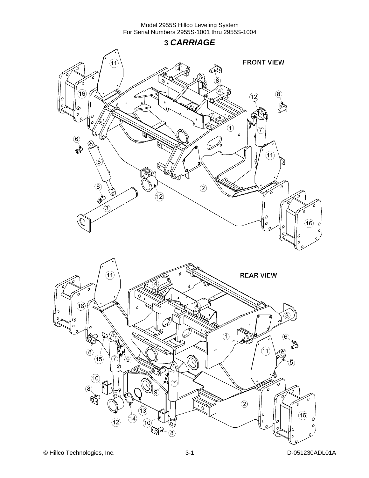**3** *CARRIAGE* 

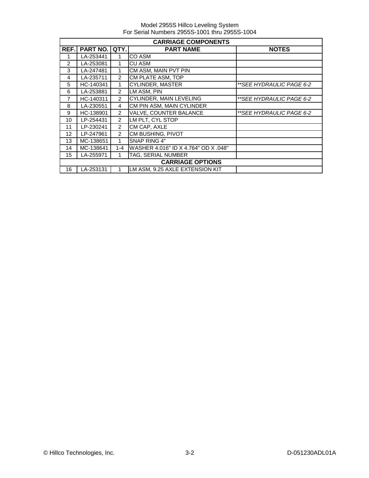|               | <b>CARRIAGE COMPONENTS</b> |                |                                      |                          |  |  |  |  |
|---------------|----------------------------|----------------|--------------------------------------|--------------------------|--|--|--|--|
| REF.          | <b>PART NO.</b>            | QTY.           | <b>PART NAME</b>                     | <b>NOTES</b>             |  |  |  |  |
|               | LA-253441                  |                | CO ASM                               |                          |  |  |  |  |
| $\mathcal{P}$ | LA-253081                  | 1              | CU ASM                               |                          |  |  |  |  |
| 3             | LA-247481                  | 1              | CM ASM, MAIN PVT PIN                 |                          |  |  |  |  |
| 4             | LA-235711                  | $\overline{2}$ | CM PLATE ASM, TOP                    |                          |  |  |  |  |
| 5             | HC-140341                  | 1              | <b>CYLINDER, MASTER</b>              | **SEE HYDRAULIC PAGE 6-2 |  |  |  |  |
| 6             | LA-253881                  | 2              | LM ASM, PIN                          |                          |  |  |  |  |
| 7             | HC-140311                  | 2              | <b>CYLINDER, MAIN LEVELING</b>       | **SEE HYDRAULIC PAGE 6-2 |  |  |  |  |
| 8             | LA-230551                  | 4              | CM PIN ASM, MAIN CYLINDER            |                          |  |  |  |  |
| 9             | HC-138901                  | $\mathcal{P}$  | VALVE, COUNTER BALANCE               | **SEE HYDRAULIC PAGE 6-2 |  |  |  |  |
| 10            | LP-254431                  | $\mathcal{P}$  | LM PLT, CYL STOP                     |                          |  |  |  |  |
| 11            | LP-230241                  | $\mathcal{P}$  | CM CAP, AXLE                         |                          |  |  |  |  |
| 12            | LP-247961                  | $\mathcal{P}$  | CM BUSHING, PIVOT                    |                          |  |  |  |  |
| 13            | MC-138651                  | 1              | SNAP RING 4"                         |                          |  |  |  |  |
| 14            | MC-138641                  | 1-4            | WASHER 4.016" ID X 4.764" OD X .048" |                          |  |  |  |  |
| 15            | LA-255971                  |                | TAG, SERIAL NUMBER                   |                          |  |  |  |  |
|               |                            |                | <b>CARRIAGE OPTIONS</b>              |                          |  |  |  |  |
| 16            | LA-253131                  |                | LM ASM, 9.25 AXLE EXTENSION KIT      |                          |  |  |  |  |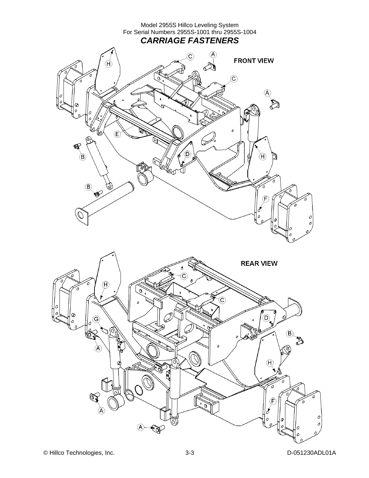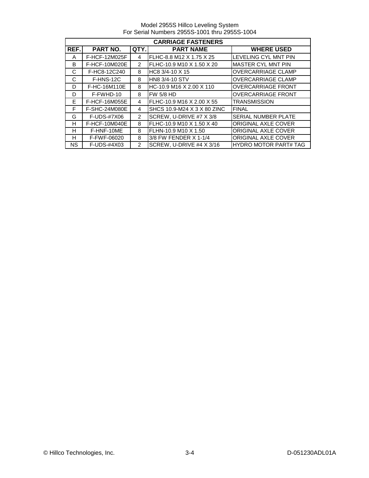Model 2955S Hillco Leveling System For Serial Numbers 2955S-1001 thru 2955S-1004

| <b>CARRIAGE FASTENERS</b> |               |                |                             |                              |  |  |
|---------------------------|---------------|----------------|-----------------------------|------------------------------|--|--|
| REF.                      | PART NO.      | QTY.           | <b>PART NAME</b>            | <b>WHERE USED</b>            |  |  |
| A                         | F-HCF-12M025F | 4              | FLHC-8.8 M12 X 1.75 X 25    | LEVELING CYL MNT PIN         |  |  |
| B                         | F-HCF-10M020E | $\mathcal{P}$  | FLHC-10.9 M10 X 1.50 X 20   | MASTER CYL MNT PIN           |  |  |
| C                         | F-HC8-12C240  | 8              | HC8 3/4-10 X 15             | <b>OVERCARRIAGE CLAMP</b>    |  |  |
| C                         | F-HNS-12C     | 8              | <b>HN8 3/4-10 STV</b>       | <b>OVERCARRIAGE CLAMP</b>    |  |  |
| D                         | F-HC-16M110E  | 8              | HC-10.9 M16 X 2.00 X 110    | <b>OVERCARRIAGE FRONT</b>    |  |  |
| D                         | F-FWHD-10     | 8              | <b>FW 5/8 HD</b>            | <b>OVERCARRIAGE FRONT</b>    |  |  |
| E                         | F-HCF-16M055E | 4              | FLHC-10.9 M16 X 2.00 X 55   | <b>TRANSMISSION</b>          |  |  |
| F                         | F-SHC-24M080E | 4              | SHCS 10.9-M24 X 3 X 80 ZINC | <b>FINAL</b>                 |  |  |
| G                         | F-UDS-#7X06   | $\overline{2}$ | SCREW, U-DRIVE #7 X 3/8     | <b>SERIAL NUMBER PLATE</b>   |  |  |
| н                         | F-HCF-10M040E | 8              | FLHC-10.9 M10 X 1.50 X 40   | <b>ORIGINAL AXLE COVER</b>   |  |  |
| н                         | F-HNF-10ME    | 8              | FLHN-10.9 M10 X 1.50        | <b>ORIGINAL AXLE COVER</b>   |  |  |
| н                         | F-FWF-06020   | 8              | 3/8 FW FENDER X 1-1/4       | <b>ORIGINAL AXLE COVER</b>   |  |  |
| <b>NS</b>                 | F-UDS-#4X03   | $\mathcal{P}$  | SCREW, U-DRIVE #4 X 3/16    | <b>HYDRO MOTOR PART# TAG</b> |  |  |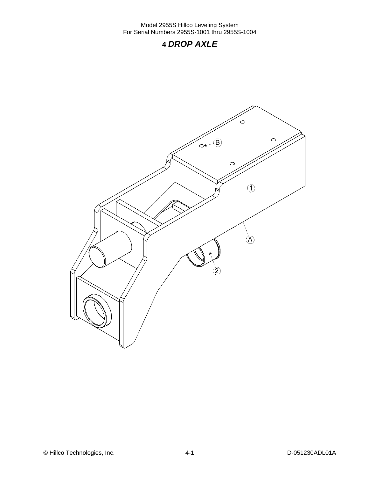## **4** *DROP AXLE*

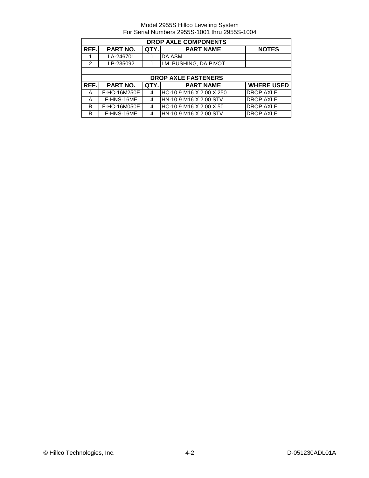| <b>DROP AXLE COMPONENTS</b> |              |      |                            |                   |  |  |
|-----------------------------|--------------|------|----------------------------|-------------------|--|--|
| REF.                        | PART NO.     | QTY. | <b>PART NAME</b>           | <b>NOTES</b>      |  |  |
|                             | LA-246701    |      | DA ASM                     |                   |  |  |
| $\overline{2}$              | LP-235092    |      | LM BUSHING, DA PIVOT       |                   |  |  |
|                             |              |      |                            |                   |  |  |
|                             |              |      | <b>DROP AXLE FASTENERS</b> |                   |  |  |
| REF.                        | PART NO.     | QTY. | <b>PART NAME</b>           | <b>WHERE USED</b> |  |  |
| A                           | F-HC-16M250E | 4    | HC-10.9 M16 X 2.00 X 250   | <b>DROP AXLE</b>  |  |  |
| A                           | F-HNS-16ME   | 4    | HN-10.9 M16 X 2.00 STV     | <b>DROP AXLE</b>  |  |  |
| B                           | F-HC-16M050E | 4    | HC-10.9 M16 X 2.00 X 50    | <b>DROP AXLE</b>  |  |  |
| B                           | F-HNS-16ME   | 4    | HN-10.9 M16 X 2.00 STV     | <b>DROP AXLE</b>  |  |  |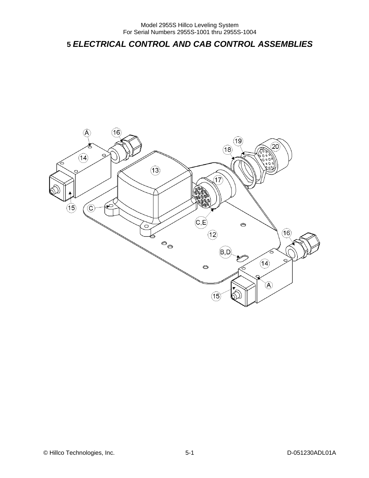## **5** *ELECTRICAL CONTROL AND CAB CONTROL ASSEMBLIES*

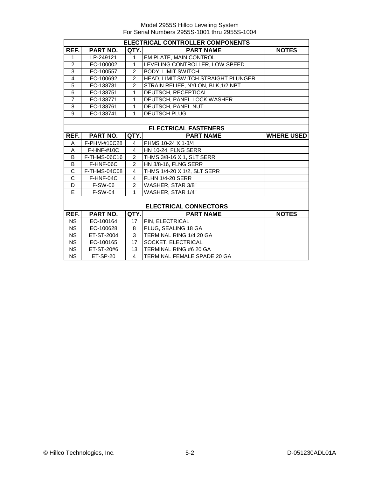|                        | ELECTRICAL CONTROLLER COMPONENTS |                |                                     |                   |  |  |
|------------------------|----------------------------------|----------------|-------------------------------------|-------------------|--|--|
| REF.                   | <b>PART NO.</b>                  | QTY.           | <b>PART NAME</b>                    | <b>NOTES</b>      |  |  |
| $\mathbf{1}$           | LP-249121                        | $\mathbf{1}$   | EM PLATE, MAIN CONTROL              |                   |  |  |
| $\overline{c}$         | EC-100002                        | 1              | LEVELING CONTROLLER, LOW SPEED      |                   |  |  |
| $\overline{3}$         | EC-100557                        | $\overline{2}$ | <b>BODY, LIMIT SWITCH</b>           |                   |  |  |
| 4                      | EC-100692                        | $\overline{2}$ | HEAD, LIMIT SWITCH STRAIGHT PLUNGER |                   |  |  |
| $\overline{5}$         | EC-138781                        | $\overline{2}$ | STRAIN RELIEF, NYLON, BLK, 1/2 NPT  |                   |  |  |
| 6                      | EC-138751                        | 1              | DEUTSCH, RECEPTICAL                 |                   |  |  |
| $\overline{7}$         | EC-138771                        | 1              | DEUTSCH, PANEL LOCK WASHER          |                   |  |  |
| 8                      | EC-138761                        | 1              | DEUTSCH, PANEL NUT                  |                   |  |  |
| 9                      | EC-138741                        | $\mathbf{1}$   | <b>DEUTSCH PLUG</b>                 |                   |  |  |
|                        |                                  |                |                                     |                   |  |  |
|                        |                                  |                | <b>ELECTRICAL FASTENERS</b>         |                   |  |  |
| REF.                   | PART NO.                         | QTY.           | <b>PART NAME</b>                    | <b>WHERE USED</b> |  |  |
| A                      | F-PHM-#10C28                     | 4              | PHMS 10-24 X 1-3/4                  |                   |  |  |
| A                      | $F-HNF-#10C$                     | $\overline{4}$ | HN 10-24, FLNG SERR                 |                   |  |  |
| B                      | F-THMS-06C16                     | $\overline{2}$ | THMS 3/8-16 X 1, SLT SERR           |                   |  |  |
| B                      | F-HNF-06C                        | $\overline{2}$ | <b>HN 3/8-16, FLNG SERR</b>         |                   |  |  |
| $\overline{\text{c}}$  | F-THMS-04C08                     | $\overline{4}$ | THMS 1/4-20 X 1/2, SLT SERR         |                   |  |  |
| $\overline{\text{c}}$  | F-HNF-04C                        | 4              | <b>FLHN 1/4-20 SERR</b>             |                   |  |  |
| $\overline{D}$         | F-SW-06                          | $\overline{2}$ | WASHER, STAR 3/8"                   |                   |  |  |
| E                      | <b>F-SW-04</b>                   | 1              | WASHER, STAR 1/4"                   |                   |  |  |
|                        |                                  |                |                                     |                   |  |  |
|                        |                                  |                | <b>ELECTRICAL CONNECTORS</b>        |                   |  |  |
| REF.                   | PART NO.                         | QTY.           | <b>PART NAME</b>                    | <b>NOTES</b>      |  |  |
| <b>NS</b>              | EC-100164                        | 17             | PIN, ELECTRICAL                     |                   |  |  |
| <b>NS</b>              | EC-100628                        | 8              | PLUG, SEALING 18 GA                 |                   |  |  |
| <b>NS</b>              | ET-ST-2004                       | 3              | TERMINAL RING 1/4 20 GA             |                   |  |  |
| $\overline{\text{NS}}$ | EC-100165                        | 17             | SOCKET, ELECTRICAL                  |                   |  |  |
| <b>NS</b>              | ET-ST-20#6                       | 13             | TERMINAL RING #6 20 GA              |                   |  |  |
| <b>NS</b>              | ET-SP-20                         | 4              | TERMINAL FEMALE SPADE 20 GA         |                   |  |  |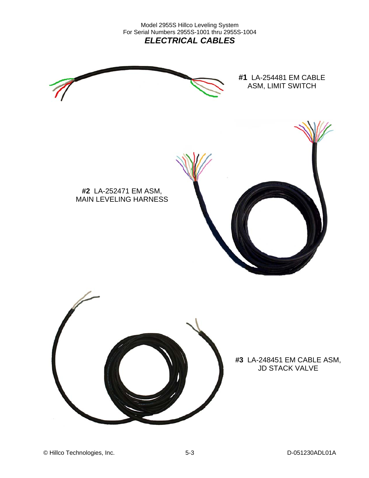Model 2955S Hillco Leveling System For Serial Numbers 2955S-1001 thru 2955S-1004 *ELECTRICAL CABLES* 



**#1** LA-254481 EM CABLE ASM, LIMIT SWITCH



**#2** LA-252471 EM ASM, MAIN LEVELING HARNESS



**#3** LA-248451 EM CABLE ASM, JD STACK VALVE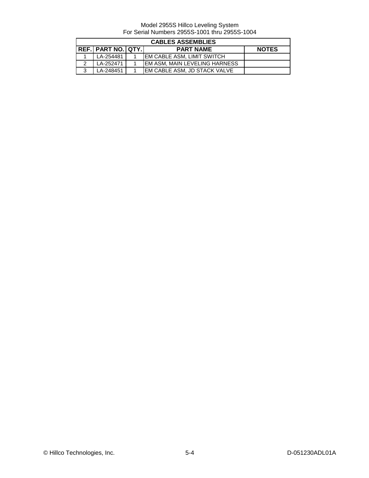| <b>CABLES ASSEMBLIES</b> |                           |  |                                       |              |  |  |
|--------------------------|---------------------------|--|---------------------------------------|--------------|--|--|
|                          | <b>REF. PART NO. QTY.</b> |  | <b>PART NAME</b>                      | <b>NOTES</b> |  |  |
|                          | LA-254481                 |  | <b>IEM CABLE ASM. LIMIT SWITCH</b>    |              |  |  |
|                          | LA-252471                 |  | <b>IEM ASM. MAIN LEVELING HARNESS</b> |              |  |  |
| $\mathbf{r}$             | LA-248451                 |  | EM CABLE ASM, JD STACK VALVE          |              |  |  |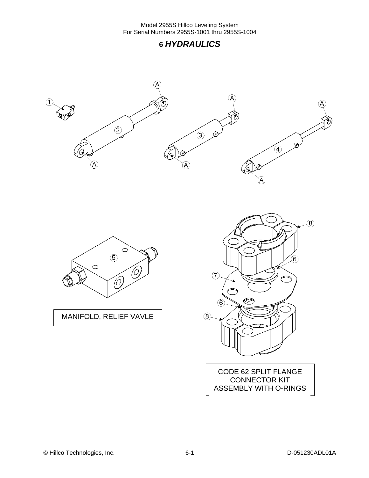





MANIFOLD, RELIEF VAVLE



CODE 62 SPLIT FLANGE CONNECTOR KIT ASSEMBLY WITH O-RINGS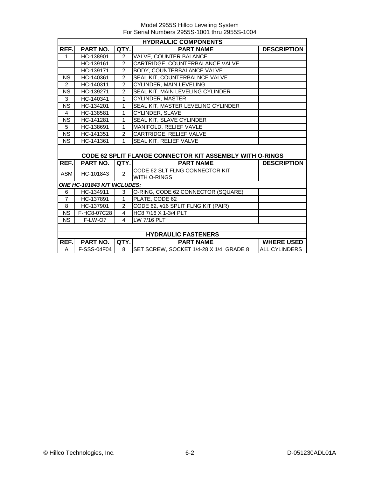|                        | <b>HYDRAULIC COMPONENTS</b> |                |                                                          |                      |  |  |
|------------------------|-----------------------------|----------------|----------------------------------------------------------|----------------------|--|--|
| REF.                   | <b>PART NO.</b>             | QTY.           | <b>PART NAME</b>                                         | <b>DESCRIPTION</b>   |  |  |
| $\mathbf{1}$           | HC-138901                   | 2              | <b>VALVE, COUNTER BALANCE</b>                            |                      |  |  |
| $\ddot{\phantom{a}}$   | HC-139161                   | $\overline{2}$ | CARTRIDGE, COUNTERBALANCE VALVE                          |                      |  |  |
| $\ddotsc$              | HC-139171                   | $\overline{2}$ | <b>BODY, COUNTERBALANCE VALVE</b>                        |                      |  |  |
| <b>NS</b>              | HC-140361                   | $\overline{2}$ | SEAL KIT, COUNTERBALNCE VALVE                            |                      |  |  |
| $\overline{2}$         | HC-140311                   | $\overline{2}$ | <b>CYLINDER, MAIN LEVELING</b>                           |                      |  |  |
| <b>NS</b>              | HC-139271                   | $\overline{2}$ | SEAL KIT, MAIN LEVELING CYLINDER                         |                      |  |  |
| 3                      | HC-140341                   | 1              | <b>CYLINDER, MASTER</b>                                  |                      |  |  |
| $\overline{\text{NS}}$ | HC-134201                   | $\mathbf{1}$   | SEAL KIT, MASTER LEVELING CYLINDER                       |                      |  |  |
| $\overline{4}$         | HC-138581                   | 1              | CYLINDER, SLAVE                                          |                      |  |  |
| <b>NS</b>              | HC-141281                   | $\mathbf{1}$   | SEAL KIT, SLAVE CYLINDER                                 |                      |  |  |
| 5                      | HC-138691                   | 1              | MANIFOLD, RELIEF VAVLE                                   |                      |  |  |
| <b>NS</b>              | HC-141351                   | 2              | CARTRIDGE, RELIEF VALVE                                  |                      |  |  |
| <b>NS</b>              | HC-141361                   | 1              | <b>SEAL KIT, RELIEF VALVE</b>                            |                      |  |  |
|                        |                             |                |                                                          |                      |  |  |
|                        |                             |                | CODE 62 SPLIT FLANGE CONNECTOR KIT ASSEMBLY WITH O-RINGS |                      |  |  |
| REF.                   | PART NO.                    | QTY.           | <b>PART NAME</b>                                         | <b>DESCRIPTION</b>   |  |  |
| ASM                    | HC-101843                   | $\overline{2}$ | CODE 62 SLT FLNG CONNECTOR KIT                           |                      |  |  |
|                        |                             |                | <b>WITH O-RINGS</b>                                      |                      |  |  |
|                        | ONE HC-101843 KIT INCLUDES: |                |                                                          |                      |  |  |
| 6                      | HC-134911                   | 3              | O-RING, CODE 62 CONNECTOR (SQUARE)                       |                      |  |  |
| $\overline{7}$         | HC-137891                   | $\mathbf{1}$   | PLATE, CODE 62                                           |                      |  |  |
| 8                      | HC-137901                   | 2              | CODE 62, #16 SPLIT FLNG KIT (PAIR)                       |                      |  |  |
| <b>NS</b>              | F-HC8-07C28                 | $\overline{4}$ | HC8 7/16 X 1-3/4 PLT                                     |                      |  |  |
| <b>NS</b>              | F-LW-O7                     | $\overline{4}$ | LW 7/16 PLT                                              |                      |  |  |
|                        |                             |                |                                                          |                      |  |  |
|                        | <b>HYDRAULIC FASTENERS</b>  |                |                                                          |                      |  |  |
| REF.                   | <b>PART NO.</b>             | QTY.           | <b>PART NAME</b>                                         | <b>WHERE USED</b>    |  |  |
| A                      | F-SSS-04F04                 | 8              | SET SCREW, SOCKET 1/4-28 X 1/4, GRADE 8                  | <b>ALL CYLINDERS</b> |  |  |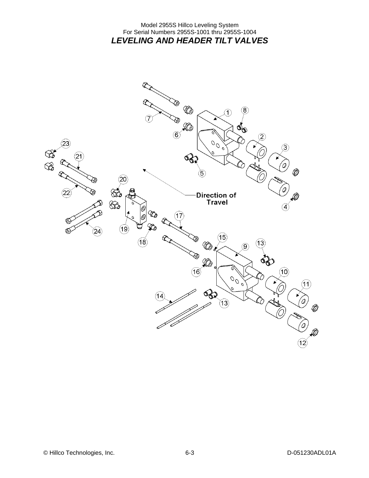#### Model 2955S Hillco Leveling System For Serial Numbers 2955S-1001 thru 2955S-1004 *LEVELING AND HEADER TILT VALVES*

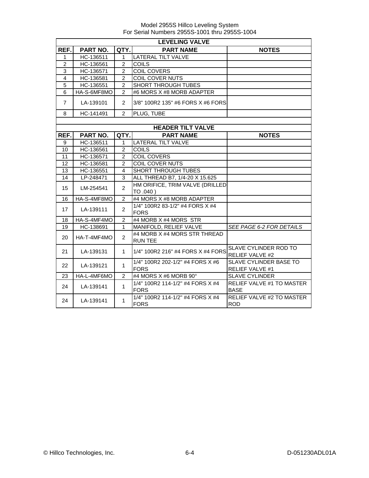|                | <b>LEVELING VALVE</b> |                |                                                 |                                                  |  |  |  |
|----------------|-----------------------|----------------|-------------------------------------------------|--------------------------------------------------|--|--|--|
| REF.           | PART NO.              | QTY.           | <b>PART NAME</b>                                | <b>NOTES</b>                                     |  |  |  |
| 1              | HC-136511             | 1              | LATERAL TILT VALVE                              |                                                  |  |  |  |
| $\overline{2}$ | HC-136561             | $\overline{2}$ | <b>COILS</b>                                    |                                                  |  |  |  |
| 3              | HC-136571             | $\overline{2}$ | <b>COIL COVERS</b>                              |                                                  |  |  |  |
| 4              | HC-136581             | 2              | COIL COVER NUTS                                 |                                                  |  |  |  |
| 5              | HC-136551             | $\overline{2}$ | <b>SHORT THROUGH TUBES</b>                      |                                                  |  |  |  |
| 6              | HA-S-6MF8MO           | $\overline{2}$ | #6 MORS X #8 MORB ADAPTER                       |                                                  |  |  |  |
| $\overline{7}$ | LA-139101             | $\mathcal{P}$  | 3/8" 100R2 135" #6 FORS X #6 FORS               |                                                  |  |  |  |
| 8              | HC-141491             | $\mathcal{P}$  | PLUG, TUBE                                      |                                                  |  |  |  |
|                |                       |                |                                                 |                                                  |  |  |  |
|                |                       |                | <b>HEADER TILT VALVE</b>                        |                                                  |  |  |  |
| REF.           | PART NO.              | QTY.           | <b>PART NAME</b>                                | <b>NOTES</b>                                     |  |  |  |
| 9              | HC-136511             | 1              | <b>LATERAL TILT VALVE</b>                       |                                                  |  |  |  |
| 10             | HC-136561             | 2              | <b>COILS</b>                                    |                                                  |  |  |  |
| 11             | HC-136571             | $\overline{2}$ | <b>COIL COVERS</b>                              |                                                  |  |  |  |
| 12             | HC-136581             | $\overline{2}$ | COIL COVER NUTS                                 |                                                  |  |  |  |
| 13             | HC-136551             | 4              | SHORT THROUGH TUBES                             |                                                  |  |  |  |
| 14             | LP-248471             | 3              | ALL THREAD B7, 1/4-20 X 15.625                  |                                                  |  |  |  |
| 15             | LM-254541             | $\overline{2}$ | HM ORIFICE, TRIM VALVE (DRILLED<br>TO .040)     |                                                  |  |  |  |
| 16             | HA-S-4MF8MO           | $\mathcal{P}$  | #4 MORS X #8 MORB ADAPTER                       |                                                  |  |  |  |
| 17             | LA-139111             | $\overline{2}$ | 1/4" 100R2 83-1/2" #4 FORS X #4<br><b>FORS</b>  |                                                  |  |  |  |
| 18             | HA-S-4MF4MO           | $\overline{2}$ | #4 MORB X #4 MORS STR                           |                                                  |  |  |  |
| 19             | HC-138691             | 1.             | MANIFOLD, RELIEF VALVE                          | SEE PAGE 6-2 FOR DETAILS                         |  |  |  |
| 20             | HA-T-4MF4MO           | $\overline{2}$ | #4 MORB X #4 MORS STR THREAD<br><b>RUN TEE</b>  |                                                  |  |  |  |
| 21             | LA-139131             | $\mathbf 1$    | 1/4" 100R2 216" #4 FORS X #4 FORS               | SLAVE CYLINDER ROD TO<br><b>RELIEF VALVE #2</b>  |  |  |  |
| 22             | LA-139121             | $\mathbf{1}$   | 1/4" 100R2 202-1/2" #4 FORS X #6<br><b>FORS</b> | SLAVE CYLINDER BASE TO<br><b>RELIEF VALVE #1</b> |  |  |  |
| 23             | HA-L-4MF6MO           | $\overline{2}$ | #4 MORS X #6 MORB 90°                           | <b>SLAVE CYLINDER</b>                            |  |  |  |
| 24             | LA-139141             | $\mathbf{1}$   | 1/4" 100R2 114-1/2" #4 FORS X #4<br><b>FORS</b> | <b>RELIEF VALVE #1 TO MASTER</b><br><b>BASE</b>  |  |  |  |
| 24             | LA-139141             | 1              | 1/4" 100R2 114-1/2" #4 FORS X #4<br><b>FORS</b> | <b>RELIEF VALVE #2 TO MASTER</b><br><b>ROD</b>   |  |  |  |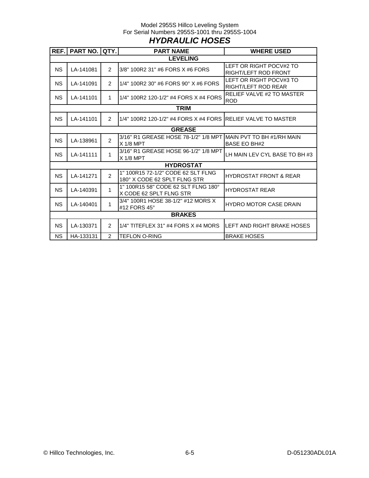#### Model 2955S Hillco Leveling System For Serial Numbers 2955S-1001 thru 2955S-1004 *HYDRAULIC HOSES*

| REF.      | PART NO. QTY. |                | <b>PART NAME</b>                                                   | <b>WHERE USED</b>                                        |
|-----------|---------------|----------------|--------------------------------------------------------------------|----------------------------------------------------------|
|           |               |                | <b>LEVELING</b>                                                    |                                                          |
| <b>NS</b> | LA-141081     | $\overline{2}$ | 3/8" 100R2 31" #6 FORS X #6 FORS                                   | LEFT OR RIGHT POCV#2 TO<br><b>RIGHT/LEFT ROD FRONT</b>   |
| NS.       | LA-141091     | $\mathcal{P}$  | 1/4" 100R2 30" #6 FORS 90° X #6 FORS                               | LEFT OR RIGHT POCV#3 TO<br><b>RIGHT/LEFT ROD REAR</b>    |
| <b>NS</b> | LA-141101     | 1              | 1/4" 100R2 120-1/2" #4 FORS X #4 FORS                              | RELIEF VALVE #2 TO MASTER<br><b>ROD</b>                  |
|           |               |                | <b>TRIM</b>                                                        |                                                          |
| <b>NS</b> | LA-141101     | 2              | 1/4" 100R2 120-1/2" #4 FORS X #4 FORS RELIEF VALVE TO MASTER       |                                                          |
|           |               |                | <b>GREASE</b>                                                      |                                                          |
| <b>NS</b> | LA-138961     | 2              | 3/16" R1 GREASE HOSE 78-1/2" 1/8 MPT<br>$X$ 1/8 MPT                | <b>IMAIN PVT TO BH #1/RH MAIN</b><br><b>BASE EO BH#2</b> |
| <b>NS</b> | LA-141111     | 1              | 3/16" R1 GREASE HOSE 96-1/2" 1/8 MPT<br>$X$ 1/8 MPT                | LH MAIN LEV CYL BASE TO BH #3                            |
|           |               |                | <b>HYDROSTAT</b>                                                   |                                                          |
| <b>NS</b> | LA-141271     | $\overline{2}$ | 1" 100R15 72-1/2" CODE 62 SLT FLNG<br>180° X CODE 62 SPLT FLNG STR | <b>HYDROSTAT FRONT &amp; REAR</b>                        |
| <b>NS</b> | LA-140391     | 1              | 1" 100R15 58" CODE 62 SLT FLNG 180°<br>X CODE 62 SPLT FLNG STR     | <b>HYDROSTAT REAR</b>                                    |
| <b>NS</b> | LA-140401     | 1              | 3/4" 100R1 HOSE 38-1/2" #12 MORS X<br>#12 FORS 45°                 | <b>HYDRO MOTOR CASE DRAIN</b>                            |
|           |               |                | <b>BRAKES</b>                                                      |                                                          |
| <b>NS</b> | LA-130371     | $\mathcal{P}$  | $1/4"$ TITEFLEX 31" #4 FORS X #4 MORS                              | LEFT AND RIGHT BRAKE HOSES                               |
| <b>NS</b> | HA-133131     | 2              | <b>TEFLON O-RING</b>                                               | <b>BRAKE HOSES</b>                                       |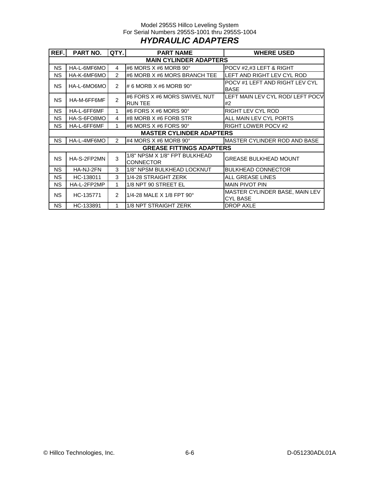#### Model 2955S Hillco Leveling System For Serial Numbers 2955S-1001 thru 2955S-1004 *HYDRAULIC ADAPTERS*

| REF.      | PART NO.                      | QTY.           | <b>PART NAME</b>                                  | <b>WHERE USED</b>                                 |  |  |  |  |
|-----------|-------------------------------|----------------|---------------------------------------------------|---------------------------------------------------|--|--|--|--|
|           | <b>MAIN CYLINDER ADAPTERS</b> |                |                                                   |                                                   |  |  |  |  |
| <b>NS</b> | HA-L-6MF6MO                   | 4              | #6 MORS X #6 MORB 90°                             | POCV #2,#3 LEFT & RIGHT                           |  |  |  |  |
| NS.       | HA-K-6MF6MO                   | 2              | #6 MORB X #6 MORS BRANCH TEE                      | LEFT AND RIGHT LEV CYL ROD                        |  |  |  |  |
| <b>NS</b> | HA-L-6MO6MO                   | 2              | # 6 MORB $X$ #6 MORB 90 $^{\circ}$                | POCV #1 LEFT AND RIGHT LEV CYL<br><b>BASE</b>     |  |  |  |  |
| <b>NS</b> | HA-M-6FF6MF                   | $\mathfrak{p}$ | #6 FORS X #6 MORS SWIVEL NUT<br><b>RUN TEE</b>    | LEFT MAIN LEV CYL ROD/ LEFT POCV<br>#2            |  |  |  |  |
| <b>NS</b> | HA-L-6FF6MF                   | 1              | #6 FORS X #6 MORS 90 $^{\circ}$                   | <b>RIGHT LEV CYL ROD</b>                          |  |  |  |  |
| <b>NS</b> | HA-S-6FO8MO                   | 4              | #8 MORB X #6 FORB STR                             | ALL MAIN LEV CYL PORTS                            |  |  |  |  |
| NS.       | HA-L-6FF6MF                   | 1              | #6 MORS X #6 FORS 90°                             | <b>RIGHT LOWER POCV #2</b>                        |  |  |  |  |
|           |                               |                | <b>MASTER CYLINDER ADAPTERS</b>                   |                                                   |  |  |  |  |
| <b>NS</b> | HA-L-4MF6MO                   | $\mathcal{P}$  | #4 MORS X #6 MORB 90 $^{\circ}$                   | MASTER CYLINDER ROD AND BASE                      |  |  |  |  |
|           |                               |                | <b>GREASE FITTINGS ADAPTERS</b>                   |                                                   |  |  |  |  |
| <b>NS</b> | HA-S-2FP2MN                   | 3              | 1/8" NPSM X 1/8" FPT BULKHEAD<br><b>CONNECTOR</b> | <b>GREASE BULKHEAD MOUNT</b>                      |  |  |  |  |
| NS.       | HA-NJ-2FN                     | 3              | 1/8" NPSM BULKHEAD LOCKNUT                        | <b>BULKHEAD CONNECTOR</b>                         |  |  |  |  |
| <b>NS</b> | HC-138011                     | 3              | 1/4-28 STRAIGHT ZERK                              | ALL GREASE LINES                                  |  |  |  |  |
| NS.       | HA-L-2FP2MP                   | 1              | 1/8 NPT 90 STREET EL                              | <b>MAIN PIVOT PIN</b>                             |  |  |  |  |
| <b>NS</b> | HC-135771                     | 2              | 1/4-28 MALE X 1/8 FPT 90°                         | MASTER CYLINDER BASE, MAIN LEV<br><b>CYL BASE</b> |  |  |  |  |
| NS.       | HC-133891                     |                | 1/8 NPT STRAIGHT ZERK                             | <b>DROP AXLE</b>                                  |  |  |  |  |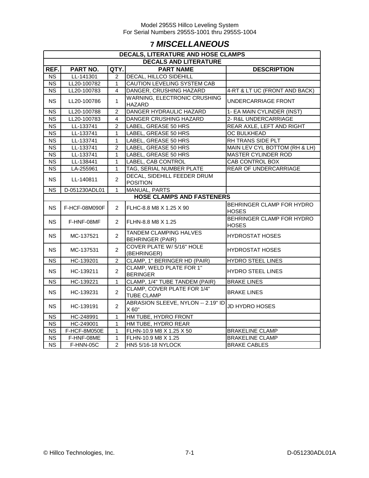## **7** *MISCELLANEOUS*

| <b>DECALS, LITERATURE AND HOSE CLAMPS</b> |               |                |                                                                      |                                           |  |  |  |  |  |  |  |
|-------------------------------------------|---------------|----------------|----------------------------------------------------------------------|-------------------------------------------|--|--|--|--|--|--|--|
| <b>DECALS AND LITERATURE</b>              |               |                |                                                                      |                                           |  |  |  |  |  |  |  |
| REF.                                      | PART NO.      | QTY.           | <b>PART NAME</b>                                                     | <b>DESCRIPTION</b>                        |  |  |  |  |  |  |  |
| $\overline{\text{NS}}$                    | LL-141301     | 2              | <b>DECAL, HILLCO SIDEHILL</b>                                        |                                           |  |  |  |  |  |  |  |
| $\overline{\text{NS}}$                    | LL20-100782   | $\mathbf{1}$   | CAUTION LEVELING SYSTEM CAB                                          |                                           |  |  |  |  |  |  |  |
| $\overline{\text{NS}}$                    | LL20-100783   | 4              | DANGER, CRUSHING HAZARD                                              | 4-RT & LT UC (FRONT AND BACK)             |  |  |  |  |  |  |  |
| <b>NS</b>                                 | LL20-100786   | $\mathbf{1}$   | WARNING, ELECTRONIC CRUSHING<br>UNDERCARRIAGE FRONT<br><b>HAZARD</b> |                                           |  |  |  |  |  |  |  |
| <b>NS</b>                                 | LL20-100788   | 2              | DANGER HYDRAULIC HAZARD                                              | 1- EA MAIN CYLINDER (INST)                |  |  |  |  |  |  |  |
| <b>NS</b>                                 | LL20-100783   | 4              | DANGER CRUSHING HAZARD                                               | 2- R&L UNDERCARRIAGE                      |  |  |  |  |  |  |  |
| <b>NS</b>                                 | LL-133741     | 2              | <b>LABEL, GREASE 50 HRS</b>                                          | REAR AXLE, LEFT AND RIGHT                 |  |  |  |  |  |  |  |
| $\overline{\text{NS}}$                    | LL-133741     | $\mathbf{1}$   | LABEL, GREASE 50 HRS                                                 | OC BULKHEAD                               |  |  |  |  |  |  |  |
| <b>NS</b>                                 | LL-133741     | $\mathbf{1}$   | LABEL, GREASE 50 HRS                                                 | RH TRANS SIDE PLT                         |  |  |  |  |  |  |  |
| $\overline{\text{NS}}$                    | LL-133741     | $\overline{2}$ | LABEL, GREASE 50 HRS                                                 | MAIN LEV CYL BOTTOM (RH & LH)             |  |  |  |  |  |  |  |
| $\overline{\text{NS}}$                    | LL-133741     | $\mathbf{1}$   | LABEL, GREASE 50 HRS                                                 | <b>MASTER CYLINDER ROD</b>                |  |  |  |  |  |  |  |
| $\overline{\text{NS}}$                    | LL-138441     | 1              | LABEL, CAB CONTROL                                                   | <b>CAB CONTROL BOX</b>                    |  |  |  |  |  |  |  |
| $\overline{\text{NS}}$                    | LA-255961     | $\mathbf{1}$   | TAG, SERIAL NUMBER PLATE                                             | <b>REAR OF UNDERCARRIAGE</b>              |  |  |  |  |  |  |  |
| <b>NS</b>                                 | LL-140811     | $\overline{2}$ | DECAL, SIDEHILL FEEDER DRUM<br>POSITION                              |                                           |  |  |  |  |  |  |  |
| <b>NS</b>                                 | D-051230ADL01 | $\mathbf 1$    | <b>MANUAL, PARTS</b>                                                 |                                           |  |  |  |  |  |  |  |
| <b>HOSE CLAMPS AND FASTENERS</b>          |               |                |                                                                      |                                           |  |  |  |  |  |  |  |
| <b>NS</b>                                 | F-HCF-08M090F | $\overline{2}$ | FLHC-8.8 M8 X 1.25 X 90                                              | BEHRINGER CLAMP FOR HYDRO<br><b>HOSES</b> |  |  |  |  |  |  |  |
| <b>NS</b>                                 | F-HNF-08MF    | $\overline{2}$ | FLHN-8.8 M8 X 1.25                                                   | BEHRINGER CLAMP FOR HYDRO<br><b>HOSES</b> |  |  |  |  |  |  |  |
| NS.                                       | MC-137521     | $\overline{2}$ | TANDEM CLAMPING HALVES<br><b>BEHRINGER (PAIR)</b>                    | <b>HYDROSTAT HOSES</b>                    |  |  |  |  |  |  |  |
| <b>NS</b>                                 | MC-137531     | $\overline{2}$ | COVER PLATE W/ 5/16" HOLE<br>(BEHRINGER)                             | HYDROSTAT HOSES                           |  |  |  |  |  |  |  |
| <b>NS</b>                                 | HC-139201     | $\overline{2}$ | CLAMP, 1" BERINGER HD (PAIR)                                         | <b>HYDRO STEEL LINES</b>                  |  |  |  |  |  |  |  |
| <b>NS</b>                                 | HC-139211     | $\overline{2}$ | CLAMP, WELD PLATE FOR 1"<br><b>BERINGER</b>                          | <b>HYDRO STEEL LINES</b>                  |  |  |  |  |  |  |  |
| <b>NS</b>                                 | HC-139221     | 1              | CLAMP, 1/4" TUBE TANDEM (PAIR)                                       | <b>BRAKE LINES</b>                        |  |  |  |  |  |  |  |
| <b>NS</b>                                 | HC-139231     | $\overline{2}$ | CLAMP, COVER PLATE FOR 1/4"<br><b>TUBE CLAMP</b>                     | <b>BRAKE LINES</b>                        |  |  |  |  |  |  |  |
| <b>NS</b>                                 | HC-139191     | $\overline{2}$ | ABRASION SLEEVE, NYLON -- 2.19" ID<br>X 60"                          | JD HYDRO HOSES                            |  |  |  |  |  |  |  |
| NS.                                       | HC-248991     | $\mathbf{1}$   | HM TUBE, HYDRO FRONT                                                 |                                           |  |  |  |  |  |  |  |
| NS.                                       | HC-249001     | $\mathbf 1$    | HM TUBE, HYDRO REAR                                                  |                                           |  |  |  |  |  |  |  |
| <b>NS</b>                                 | F-HCF-8M050E  | $\mathbf{1}$   | FLHN-10.9 M8 X 1.25 X 50                                             | <b>BRAKELINE CLAMP</b>                    |  |  |  |  |  |  |  |
| <b>NS</b>                                 | F-HNF-08ME    | $\mathbf{1}$   | FLHN-10.9 M8 X 1.25                                                  | <b>BRAKELINE CLAMP</b>                    |  |  |  |  |  |  |  |
| $\overline{\text{NS}}$                    | F-HNN-05C     | $\overline{2}$ | HN5 5/16-18 NYLOCK                                                   | <b>BRAKE CABLES</b>                       |  |  |  |  |  |  |  |